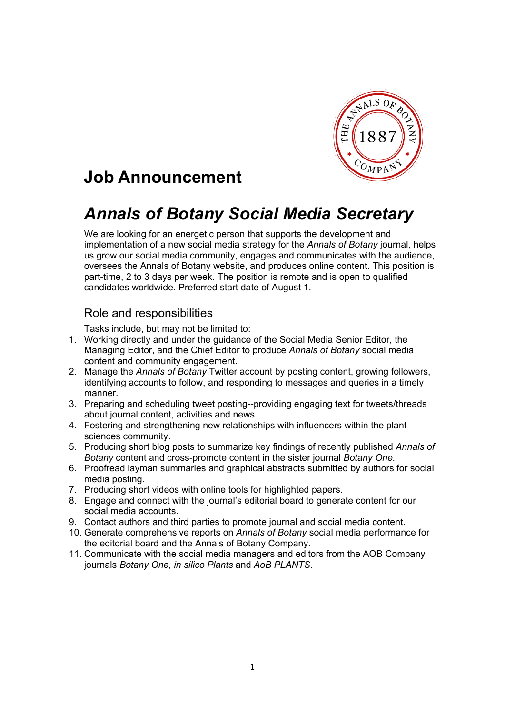

# **Job Announcement**

# *Annals of Botany Social Media Secretary*

We are looking for an energetic person that supports the development and implementation of a new social media strategy for the *Annals of Botany* journal, helps us grow our social media community, engages and communicates with the audience, oversees the Annals of Botany website, and produces online content. This position is part-time, 2 to 3 days per week. The position is remote and is open to qualified candidates worldwide. Preferred start date of August 1.

### Role and responsibilities

Tasks include, but may not be limited to:

- 1. Working directly and under the guidance of the Social Media Senior Editor, the Managing Editor, and the Chief Editor to produce *Annals of Botany* social media content and community engagement.
- 2. Manage the *Annals of Botany* Twitter account by posting content, growing followers, identifying accounts to follow, and responding to messages and queries in a timely manner.
- 3. Preparing and scheduling tweet posting--providing engaging text for tweets/threads about journal content, activities and news.
- 4. Fostering and strengthening new relationships with influencers within the plant sciences community.
- 5. Producing short blog posts to summarize key findings of recently published *Annals of Botany* content and cross-promote content in the sister journal *Botany One.*
- 6. Proofread layman summaries and graphical abstracts submitted by authors for social media posting.
- 7. Producing short videos with online tools for highlighted papers.
- 8. Engage and connect with the journal's editorial board to generate content for our social media accounts.
- 9. Contact authors and third parties to promote journal and social media content.
- 10. Generate comprehensive reports on *Annals of Botany* social media performance for the editorial board and the Annals of Botany Company.
- 11. Communicate with the social media managers and editors from the AOB Company journals *Botany One, in silico Plants* and *AoB PLANTS*.